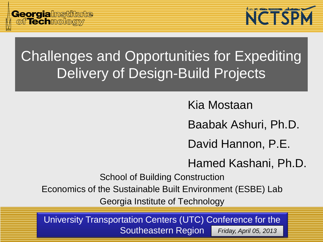

# Challenges and Opportunities for Expediting Delivery of Design-Build Projects

Kia Mostaan

Baabak Ashuri, Ph.D.

David Hannon, P.E.

Hamed Kashani, Ph.D.

School of Building Construction

Economics of the Sustainable Built Environment (ESBE) Lab

Georgia Institute of Technology

University Transportation Centers (UTC) Conference for the Southeastern Region *Friday, April 05, 2013*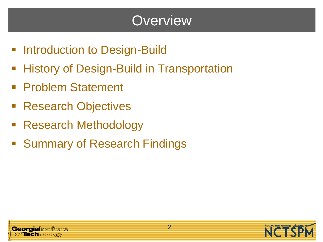## **Overview**

- **Introduction to Design-Build**
- **History of Design-Build in Transportation**
- **Problem Statement**
- Research Objectives
- Research Methodology
- **Summary of Research Findings**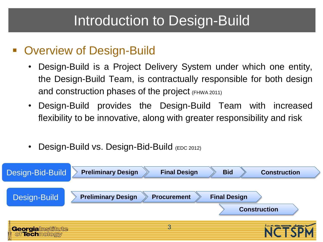### Introduction to Design-Build

#### **• Overview of Design-Build**

- Design-Build is a Project Delivery System under which one entity, the Design-Build Team, is contractually responsible for both design and construction phases of the project (FHWA 2011)
- Design-Build provides the Design-Build Team with increased flexibility to be innovative, along with greater responsibility and risk
- **Design-Build vs. Design-Bid-Build (EDC 2012)**

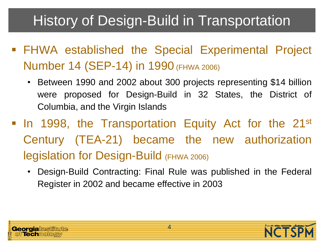# History of Design-Build in Transportation

- FHWA established the Special Experimental Project Number 14 (SEP-14) in 1990 (FHWA 2006)
	- Between 1990 and 2002 about 300 projects representing \$14 billion were proposed for Design-Build in 32 States, the District of Columbia, and the Virgin Islands
- In 1998, the Transportation Equity Act for the 21<sup>st</sup> Century (TEA-21) became the new authorization legislation for Design-Build (FHWA 2006)
	- Design-Build Contracting: Final Rule was published in the Federal Register in 2002 and became effective in 2003



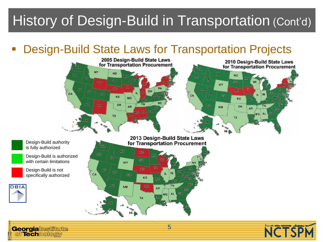# History of Design-Build in Transportation (Cont'd)

#### Design-Build State Laws for Transportation Projects



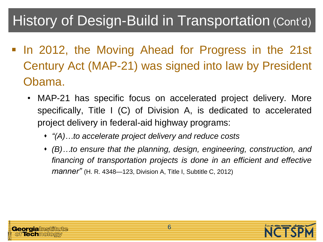## History of Design-Build in Transportation (Cont'd)

- In 2012, the Moving Ahead for Progress in the 21st Century Act (MAP-21) was signed into law by President Obama.
	- MAP-21 has specific focus on accelerated project delivery. More specifically, Title I (C) of Division A, is dedicated to accelerated project delivery in federal-aid highway programs:
		- *"(A)…to accelerate project delivery and reduce costs*
		- *(B)…to ensure that the planning, design, engineering, construction, and financing of transportation projects is done in an efficient and effective manner"* (H. R. 4348—123, Division A, Title I, Subtitle C, 2012)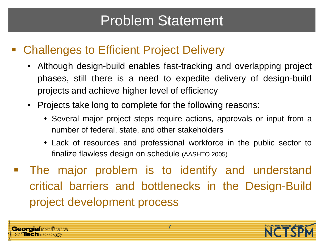## Problem Statement

#### Challenges to Efficient Project Delivery

- Although design-build enables fast-tracking and overlapping project phases, still there is a need to expedite delivery of design-build projects and achieve higher level of efficiency
- Projects take long to complete for the following reasons:
	- Several major project steps require actions, approvals or input from a number of federal, state, and other stakeholders
	- Lack of resources and professional workforce in the public sector to finalize flawless design on schedule (AASHTO 2005)
- **The major problem is to identify and understand** critical barriers and bottlenecks in the Design-Build project development process



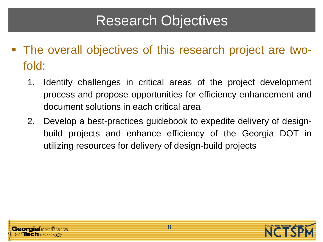## Research Objectives

- The overall objectives of this research project are twofold:
	- 1. Identify challenges in critical areas of the project development process and propose opportunities for efficiency enhancement and document solutions in each critical area
	- 2. Develop a best-practices guidebook to expedite delivery of designbuild projects and enhance efficiency of the Georgia DOT in utilizing resources for delivery of design-build projects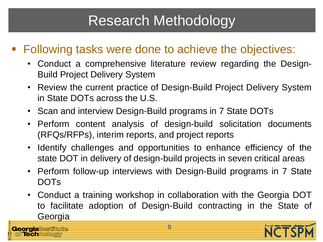## Research Methodology

#### ■ Following tasks were done to achieve the objectives:

- Conduct a comprehensive literature review regarding the Design-Build Project Delivery System
- Review the current practice of Design-Build Project Delivery System in State DOTs across the U.S.
- Scan and interview Design-Build programs in 7 State DOTs
- Perform content analysis of design-build solicitation documents (RFQs/RFPs), interim reports, and project reports
- Identify challenges and opportunities to enhance efficiency of the state DOT in delivery of design-build projects in seven critical areas
- Perform follow-up interviews with Design-Build programs in 7 State DOTs
- Conduct a training workshop in collaboration with the Georgia DOT to facilitate adoption of Design-Build contracting in the State of **Georgia**

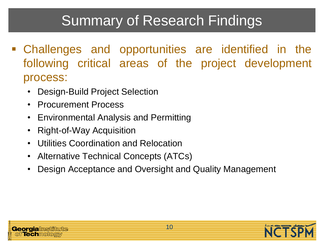# Summary of Research Findings

- Challenges and opportunities are identified in the following critical areas of the project development process:
	- Design-Build Project Selection
	- Procurement Process
	- Environmental Analysis and Permitting
	- Right-of-Way Acquisition
	- Utilities Coordination and Relocation
	- Alternative Technical Concepts (ATCs)
	- Design Acceptance and Oversight and Quality Management



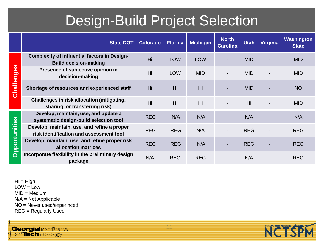## Design-Build Project Selection

|                      | <b>State DOT</b>                                                                       | <b>Colorado</b> | <b>Florida</b> | <b>Michigan</b> | <b>North</b><br><b>Carolina</b> | <b>Utah</b>    | Virginia | <b>Washington</b><br><b>State</b> |
|----------------------|----------------------------------------------------------------------------------------|-----------------|----------------|-----------------|---------------------------------|----------------|----------|-----------------------------------|
|                      | <b>Complexity of influential factors in Design-</b><br><b>Build decision-making</b>    | Hi              | <b>LOW</b>     | <b>LOW</b>      |                                 | <b>MID</b>     |          | <b>MID</b>                        |
|                      | Presence of subjective opinion in<br>decision-making                                   | Hi              | <b>LOW</b>     | <b>MID</b>      |                                 | <b>MID</b>     |          | <b>MID</b>                        |
| <b>Challenges</b>    | Shortage of resources and experienced staff                                            | Hi              | HI             | H <sub>l</sub>  | ٠                               | <b>MID</b>     |          | <b>NO</b>                         |
|                      | Challenges in risk allocation (mitigating,<br>sharing, or transferring risk)           | Hi              | H <sub>l</sub> | H <sub>l</sub>  |                                 | H <sub>l</sub> |          | <b>MID</b>                        |
|                      | Develop, maintain, use, and update a<br>systematic design-build selection tool         | <b>REG</b>      | N/A            | N/A             |                                 | N/A            |          | N/A                               |
|                      | Develop, maintain, use, and refine a proper<br>risk identification and assessment tool | <b>REG</b>      | <b>REG</b>     | N/A             | $\overline{\phantom{a}}$        | <b>REG</b>     |          | <b>REG</b>                        |
| <b>Opportunities</b> | Develop, maintain, use, and refine proper risk<br>allocation matrices                  | <b>REG</b>      | <b>REG</b>     | N/A             | -                               | <b>REG</b>     |          | <b>REG</b>                        |
|                      | Incorporate flexibility in the preliminary design<br>package                           | N/A             | <b>REG</b>     | <b>REG</b>      |                                 | N/A            |          | <b>REG</b>                        |

 $H = High$  $LOW = Low$  $MID = Medium$ N/A = Not Applicable NO = Never used/experinced REG = Regularly Used

**Georgialmstitute**<br>| of**Tech**mology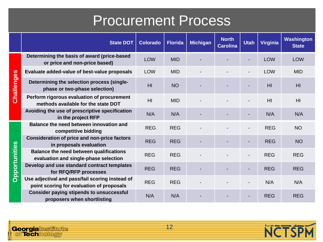### Procurement Process

|                      | <b>State DOT</b>                                                                             | <b>Colorado</b> | <b>Florida</b> | <b>Michigan</b> | <b>North</b><br><b>Carolina</b> | <b>Utah</b> | <b>Virginia</b> | <b>Washington</b><br><b>State</b> |
|----------------------|----------------------------------------------------------------------------------------------|-----------------|----------------|-----------------|---------------------------------|-------------|-----------------|-----------------------------------|
|                      | Determining the basis of award (price-based<br>or price and non-price based)                 | LOW             | <b>MID</b>     |                 |                                 |             | LOW             | <b>LOW</b>                        |
|                      | Evaluate added-value of best-value proposals                                                 | <b>LOW</b>      | <b>MID</b>     |                 |                                 |             | <b>LOW</b>      | <b>MID</b>                        |
| <b>Challenges</b>    | Determining the selection process (single-<br>phase or two-phase selection)                  | H <sub>l</sub>  | <b>NO</b>      |                 |                                 |             | H <sub>l</sub>  | H <sub>l</sub>                    |
|                      | Perform rigorous evaluation of procurement<br>methods available for the state DOT            | H <sub>l</sub>  | <b>MID</b>     |                 |                                 |             | H <sub>l</sub>  | H <sub>l</sub>                    |
|                      | Avoiding the use of prescriptive specification<br>in the project RFP                         | N/A             | N/A            |                 |                                 |             | N/A             | N/A                               |
|                      | Balance the need between innovation and<br>competitive bidding                               | <b>REG</b>      | <b>REG</b>     |                 |                                 |             | <b>REG</b>      | <b>NO</b>                         |
|                      | <b>Consideration of price and non-price factors</b><br>in proposals evaluation               | <b>REG</b>      | <b>REG</b>     |                 |                                 |             | <b>REG</b>      | <b>NO</b>                         |
| <b>Opportunities</b> | <b>Balance the need between qualifications</b><br>evaluation and single-phase selection      | <b>REG</b>      | <b>REG</b>     |                 |                                 |             | <b>REG</b>      | <b>REG</b>                        |
|                      | Develop and use standard contract templates<br>for RFQ/RFP processes                         | <b>REG</b>      | <b>REG</b>     |                 |                                 |             | <b>REG</b>      | <b>REG</b>                        |
|                      | Use adjectival and pass/fail scoring instead of<br>point scoring for evaluation of proposals | <b>REG</b>      | <b>REG</b>     |                 |                                 |             | N/A             | N/A                               |
|                      | <b>Consider paying stipends to unsuccessful</b><br>proposers when shortlisting               | N/A             | N/A            |                 |                                 |             | <b>REG</b>      | <b>REG</b>                        |

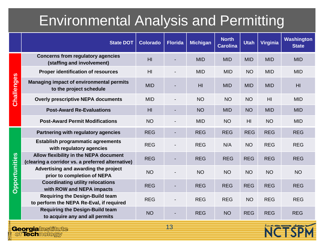## Environmental Analysis and Permitting

|                                                | <b>State DOT</b>                                                                            | <b>Colorado</b> | <b>Florida</b> | <b>Michigan</b> | <b>North</b><br><b>Carolina</b> | <b>Utah</b>    | <b>Virginia</b> | Washington<br><b>State</b> |
|------------------------------------------------|---------------------------------------------------------------------------------------------|-----------------|----------------|-----------------|---------------------------------|----------------|-----------------|----------------------------|
|                                                | <b>Concerns from regulatory agencies</b><br>(staffing and involvement)                      | H <sub>l</sub>  |                | <b>MID</b>      | <b>MID</b>                      | <b>MID</b>     | <b>MID</b>      | <b>MID</b>                 |
|                                                | <b>Proper identification of resources</b>                                                   | H <sub>l</sub>  |                | <b>MID</b>      | <b>MID</b>                      | <b>NO</b>      | <b>MID</b>      | <b>MID</b>                 |
| <b>Challenges</b>                              | Managing impact of environmental permits<br>to the project schedule                         | <b>MID</b>      |                | H <sub>l</sub>  | <b>MID</b>                      | <b>MID</b>     | <b>MID</b>      | H <sub>l</sub>             |
|                                                | <b>Overly prescriptive NEPA documents</b>                                                   | <b>MID</b>      |                | <b>NO</b>       | <b>NO</b>                       | <b>NO</b>      | H <sub>l</sub>  | <b>MID</b>                 |
|                                                | <b>Post-Award Re-Evaluations</b>                                                            | H <sub>l</sub>  |                | <b>NO</b>       | <b>MID</b>                      | <b>NO</b>      | <b>MID</b>      | <b>MID</b>                 |
|                                                | <b>Post-Award Permit Modifications</b>                                                      | <b>NO</b>       |                | <b>MID</b>      | <b>NO</b>                       | H <sub>l</sub> | <b>NO</b>       | <b>MID</b>                 |
|                                                | Partnering with regulatory agencies                                                         | <b>REG</b>      |                | <b>REG</b>      | <b>REG</b>                      | <b>REG</b>     | <b>REG</b>      | <b>REG</b>                 |
|                                                | <b>Establish programmatic agreements</b><br>with regulatory agencies                        | <b>REG</b>      |                | <b>REG</b>      | N/A                             | <b>NO</b>      | <b>REG</b>      | <b>REG</b>                 |
|                                                | Allow flexibility in the NEPA document<br>(clearing a corridor vs. a preferred alternative) | <b>REG</b>      |                | <b>REG</b>      | <b>REG</b>                      | <b>REG</b>     | <b>REG</b>      | <b>REG</b>                 |
| <b>Opportunities</b>                           | Advertising and awarding the project<br>prior to completion of NEPA                         | <b>NO</b>       |                | <b>NO</b>       | <b>NO</b>                       | <b>NO</b>      | <b>NO</b>       | <b>NO</b>                  |
|                                                | <b>Coordinating utility relocations</b><br>with ROW and NEPA impacts                        | <b>REG</b>      |                | <b>REG</b>      | <b>REG</b>                      | <b>REG</b>     | <b>REG</b>      | <b>REG</b>                 |
|                                                | <b>Requiring the Design-Build team</b><br>to perform the NEPA Re-Eval, if required          | <b>REG</b>      |                | <b>REG</b>      | <b>REG</b>                      | <b>NO</b>      | <b>REG</b>      | <b>REG</b>                 |
|                                                | <b>Requiring the Design-Build team</b><br>to acquire any and all permits                    | <b>NO</b>       |                | <b>REG</b>      | <b>NO</b>                       | <b>REG</b>     | <b>REG</b>      | <b>REG</b>                 |
| 13<br><b>Georgialnstitute</b><br>of Technology |                                                                                             |                 |                |                 |                                 |                |                 |                            |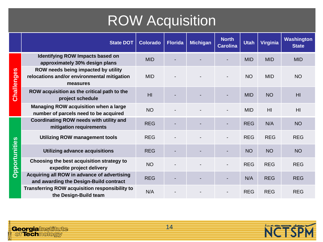# ROW Acquisition

|               | <b>State DOT</b>                                                                               | <b>Colorado</b> | <b>Florida</b> | <b>Michigan</b> | <b>North</b><br><b>Carolina</b> | <b>Utah</b> | <b>Virginia</b> | <b>Washington</b><br><b>State</b> |
|---------------|------------------------------------------------------------------------------------------------|-----------------|----------------|-----------------|---------------------------------|-------------|-----------------|-----------------------------------|
|               | <b>Identifying ROW Impacts based on</b><br>approximately 30% design plans                      | <b>MID</b>      |                |                 |                                 | <b>MID</b>  | <b>MID</b>      | <b>MID</b>                        |
| Challenges    | ROW needs being impacted by utility<br>relocations and/or environmental mitigation<br>measures | <b>MID</b>      |                |                 |                                 | <b>NO</b>   | <b>MID</b>      | <b>NO</b>                         |
|               | ROW acquisition as the critical path to the<br>project schedule                                | H <sub>l</sub>  |                |                 |                                 | <b>MID</b>  | <b>NO</b>       | H <sub>l</sub>                    |
|               | Managing ROW acquisition when a large<br>number of parcels need to be acquired                 | <b>NO</b>       |                |                 |                                 | <b>MID</b>  | H <sub>l</sub>  | H <sub>l</sub>                    |
|               | Coordinating ROW needs with utility and<br>mitigation requirements                             | <b>REG</b>      |                |                 |                                 | <b>REG</b>  | N/A             | <b>NO</b>                         |
|               | <b>Utilizing ROW management tools</b>                                                          | <b>REG</b>      |                |                 |                                 | <b>REG</b>  | <b>REG</b>      | <b>REG</b>                        |
|               | Utilizing advance acquisitions                                                                 | <b>REG</b>      |                |                 |                                 | <b>NO</b>   | <b>NO</b>       | <b>NO</b>                         |
| Opportunities | Choosing the best acquisition strategy to<br>expedite project delivery                         | <b>NO</b>       |                |                 |                                 | <b>REG</b>  | <b>REG</b>      | <b>REG</b>                        |
|               | Acquiring all ROW in advance of advertising<br>and awarding the Design-Build contract          | <b>REG</b>      |                |                 |                                 | N/A         | <b>REG</b>      | <b>REG</b>                        |
|               | <b>Transferring ROW acquisition responsibility to</b><br>the Design-Build team                 | N/A             |                |                 |                                 | <b>REG</b>  | <b>REG</b>      | <b>REG</b>                        |



**NCTSPN**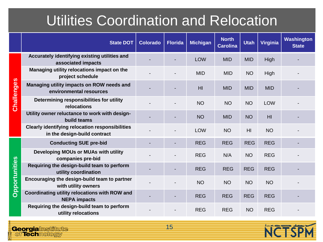## Utilities Coordination and Relocation

|               | <b>State DOT</b>                                                                       | <b>Colorado</b> | <b>Florida</b> | <b>Michigan</b> | <b>North</b><br><b>Carolina</b> | <b>Utah</b>    | Virginia       | Washington<br><b>State</b> |
|---------------|----------------------------------------------------------------------------------------|-----------------|----------------|-----------------|---------------------------------|----------------|----------------|----------------------------|
|               | Accurately identifying existing utilities and<br>associated impacts                    |                 |                | <b>LOW</b>      | <b>MID</b>                      | <b>MID</b>     | High           |                            |
|               | Managing utility relocations impact on the<br>project schedule                         |                 |                | <b>MID</b>      | <b>MID</b>                      | <b>NO</b>      | High           |                            |
| Challenges    | Managing utility impacts on ROW needs and<br>environmental resources                   |                 |                | H <sub>l</sub>  | <b>MID</b>                      | <b>MID</b>     | <b>MID</b>     |                            |
|               | Determining responsibilities for utility<br>relocations                                |                 |                | <b>NO</b>       | <b>NO</b>                       | <b>NO</b>      | <b>LOW</b>     |                            |
|               | Utility owner reluctance to work with design-<br>build teams                           |                 |                | <b>NO</b>       | <b>MID</b>                      | <b>NO</b>      | H <sub>l</sub> |                            |
|               | <b>Clearly identifying relocation responsibilities</b><br>in the design-build contract |                 |                | LOW             | <b>NO</b>                       | H <sub>l</sub> | <b>NO</b>      |                            |
|               | <b>Conducting SUE pre-bid</b>                                                          |                 |                | <b>REG</b>      | <b>REG</b>                      | <b>REG</b>     | <b>REG</b>     |                            |
|               | Developing MOUs or MUAs with utility<br>companies pre-bid                              |                 |                | <b>REG</b>      | N/A                             | <b>NO</b>      | <b>REG</b>     |                            |
| Opportunities | Requiring the design-build team to perform<br>utility coordination                     |                 |                | <b>REG</b>      | <b>REG</b>                      | <b>REG</b>     | <b>REG</b>     |                            |
|               | Encouraging the design-build team to partner<br>with utility owners                    |                 |                | <b>NO</b>       | <b>NO</b>                       | <b>NO</b>      | <b>NO</b>      |                            |
|               | Coordinating utility relocations with ROW and<br><b>NEPA impacts</b>                   |                 |                | <b>REG</b>      | <b>REG</b>                      | <b>REG</b>     | <b>REG</b>     |                            |
|               | Requiring the design-build team to perform<br>utility relocations                      |                 |                | <b>REG</b>      | <b>REG</b>                      | <b>NO</b>      | <b>REG</b>     |                            |

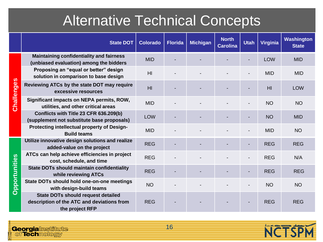## Alternative Technical Concepts

|                      | <b>State DOT</b>                                                                                           | <b>Colorado</b> | <b>Florida</b> | <b>Michigan</b> | <b>North</b><br><b>Carolina</b> | <b>Utah</b> | <b>Virginia</b> | Washington<br><b>State</b> |
|----------------------|------------------------------------------------------------------------------------------------------------|-----------------|----------------|-----------------|---------------------------------|-------------|-----------------|----------------------------|
|                      | <b>Maintaining confidentiality and fairness</b><br>(unbiased evaluation) among the bidders                 | <b>MID</b>      |                |                 |                                 |             | <b>LOW</b>      | <b>MID</b>                 |
|                      | Proposing an "equal or better" design<br>solution in comparison to base design                             | H <sub>l</sub>  |                |                 |                                 |             | <b>MID</b>      | <b>MID</b>                 |
| Challenges           | Reviewing ATCs by the state DOT may require<br>excessive resources                                         | H <sub>l</sub>  |                |                 |                                 |             | H <sub>l</sub>  | <b>LOW</b>                 |
|                      | Significant impacts on NEPA permits, ROW,<br>utilities, and other critical areas                           | <b>MID</b>      |                |                 |                                 |             | <b>NO</b>       | <b>NO</b>                  |
|                      | Conflicts with Title 23 CFR 636.209(b)<br>(supplement not substitute base proposals)                       | <b>LOW</b>      |                |                 |                                 |             | <b>NO</b>       | <b>MID</b>                 |
|                      | Protecting intellectual property of Design-<br><b>Build teams</b>                                          | <b>MID</b>      |                |                 |                                 |             | <b>MID</b>      | <b>NO</b>                  |
|                      | Utilize innovative design solutions and realize<br>added-value on the project                              | <b>REG</b>      |                |                 |                                 |             | <b>REG</b>      | <b>REG</b>                 |
|                      | ATCs can help achieve efficiencies in project<br>cost, schedule, and time                                  | <b>REG</b>      |                |                 |                                 |             | <b>REG</b>      | N/A                        |
| <b>Opportunities</b> | <b>State DOTs should maintain confidentiality</b><br>while reviewing ATCs                                  | <b>REG</b>      |                |                 |                                 |             | <b>REG</b>      | <b>REG</b>                 |
|                      | State DOTs should hold one-on-one meetings<br>with design-build teams                                      | <b>NO</b>       |                |                 |                                 |             | <b>NO</b>       | <b>NO</b>                  |
|                      | <b>State DOTs should request detailed</b><br>description of the ATC and deviations from<br>the project RFP | <b>REG</b>      |                |                 |                                 |             | <b>REG</b>      | <b>REG</b>                 |

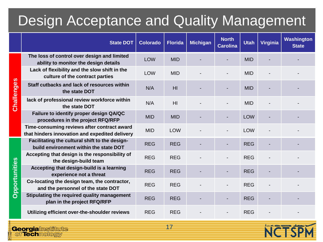### Design Acceptance and Quality Management

|                   | <b>State DOT</b>                                                                              | <b>Colorado</b> | <b>Florida</b> | <b>Michigan</b> | <b>North</b><br><b>Carolina</b> | <b>Utah</b> | <b>Virginia</b> | Washington<br><b>State</b> |
|-------------------|-----------------------------------------------------------------------------------------------|-----------------|----------------|-----------------|---------------------------------|-------------|-----------------|----------------------------|
|                   | The loss of control over design and limited<br>ability to monitor the design details          | <b>LOW</b>      | <b>MID</b>     |                 |                                 | <b>MID</b>  |                 |                            |
|                   | Lack of flexibility and the slow shift in the<br>culture of the contract parties              | LOW             | <b>MID</b>     |                 |                                 | <b>MID</b>  |                 |                            |
| <b>Challenges</b> | Staff cutbacks and lack of resources within<br>the state DOT                                  | N/A             | H <sub>l</sub> |                 |                                 | <b>MID</b>  |                 |                            |
|                   | lack of professional review workforce within<br>the state DOT                                 | N/A             | H <sub>l</sub> |                 |                                 | <b>MID</b>  |                 |                            |
|                   | Failure to identify proper design QA/QC<br>procedures in the project RFQ/RFP                  | <b>MID</b>      | <b>MID</b>     |                 |                                 | <b>LOW</b>  |                 |                            |
|                   | Time-consuming reviews after contract award<br>that hinders innovation and expedited delivery | <b>MID</b>      | <b>LOW</b>     |                 |                                 | <b>LOW</b>  |                 |                            |
|                   | Facilitating the cultural shift to the design-<br>build environment within the state DOT      | <b>REG</b>      | <b>REG</b>     |                 |                                 | <b>REG</b>  |                 |                            |
|                   | Accepting that design is the responsibility of<br>the design-build team                       | <b>REG</b>      | <b>REG</b>     |                 |                                 | <b>REG</b>  |                 |                            |
|                   | Accepting that design-build is a learning<br>experience not a threat                          | <b>REG</b>      | <b>REG</b>     |                 |                                 | <b>REG</b>  |                 |                            |
| Opportunities     | Co-locating the design team, the contractor,<br>and the personnel of the state DOT            | <b>REG</b>      | <b>REG</b>     |                 |                                 | <b>REG</b>  |                 |                            |
|                   | Stipulating the required quality management<br>plan in the project RFQ/RFP                    | <b>REG</b>      | <b>REG</b>     |                 |                                 | <b>REG</b>  |                 |                            |
|                   | Utilizing efficient over-the-shoulder reviews                                                 | <b>REG</b>      | <b>REG</b>     |                 |                                 | <b>REG</b>  |                 |                            |

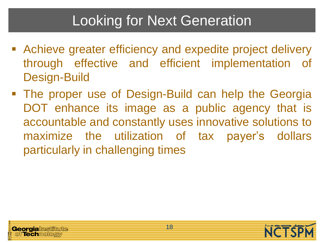## Looking for Next Generation

- Achieve greater efficiency and expedite project delivery through effective and efficient implementation of Design-Build
- The proper use of Design-Build can help the Georgia DOT enhance its image as a public agency that is accountable and constantly uses innovative solutions to maximize the utilization of tax payer's dollars particularly in challenging times